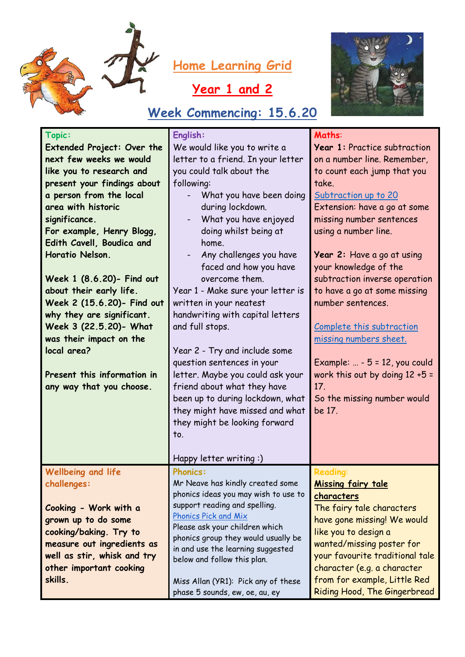

## **Year 1 and 2**

## **Week Commencing: 15.6.20**



| Topic:                            | English:                                                         | Maths:                            |
|-----------------------------------|------------------------------------------------------------------|-----------------------------------|
| <b>Extended Project: Over the</b> | We would like you to write a                                     | Year 1: Practice subtraction      |
| next few weeks we would           | letter to a friend. In your letter                               | on a number line. Remember,       |
| like you to research and          | you could talk about the                                         | to count each jump that you       |
| present your findings about       | following:                                                       | take.                             |
| a person from the local           | What you have been doing<br>$\overline{\phantom{0}}$             | Subtraction up to 20              |
| area with historic                | during lockdown.                                                 | Extension: have a go at some      |
| significance.                     | What you have enjoyed                                            | missing number sentences          |
| For example, Henry Blogg,         | doing whilst being at                                            | using a number line.              |
| Edith Cavell, Boudica and         | home.                                                            |                                   |
| Horatio Nelson.                   | Any challenges you have<br>$\overline{\phantom{a}}$              | Year 2: Have a go at using        |
|                                   | faced and how you have                                           | your knowledge of the             |
| Week 1 (8.6.20)- Find out         | overcome them.                                                   | subtraction inverse operation     |
| about their early life.           | Year 1 - Make sure your letter is                                | to have a go at some missing      |
| Week 2 (15.6.20)- Find out        | written in your neatest                                          | number sentences.                 |
| why they are significant.         | handwriting with capital letters                                 |                                   |
| Week 3 (22.5.20)- What            | and full stops.                                                  | Complete this subtraction         |
| was their impact on the           |                                                                  | missing numbers sheet.            |
| local area?                       | Year 2 - Try and include some                                    |                                   |
|                                   | question sentences in your                                       | Example: $ - 5 = 12$ , you could  |
| Present this information in       | letter. Maybe you could ask your                                 | work this out by doing $12 + 5 =$ |
| any way that you choose.          | friend about what they have                                      | 17.                               |
|                                   | been up to during lockdown, what                                 | So the missing number would       |
|                                   | they might have missed and what                                  | be 17.                            |
|                                   | they might be looking forward                                    |                                   |
|                                   | to.                                                              |                                   |
|                                   |                                                                  |                                   |
|                                   | Happy letter writing:)                                           |                                   |
| <b>Wellbeing and life</b>         | <b>Phonics:</b>                                                  | <b>Reading:</b>                   |
| challenges:                       | Mr Neave has kindly created some                                 | Missing fairy tale                |
|                                   | phonics ideas you may wish to use to                             | characters                        |
| Cooking - Work with a             | support reading and spelling.                                    | The fairy tale characters         |
| grown up to do some               | <b>Phonics Pick and Mix</b>                                      | have gone missing! We would       |
| cooking/baking. Try to            | Please ask your children which                                   | like you to design a              |
| measure out ingredients as        | phonics group they would usually be                              | wanted/missing poster for         |
| well as stir, whisk and try       | in and use the learning suggested<br>below and follow this plan. | your favourite traditional tale   |
| other important cooking           |                                                                  | character (e.g. a character       |
| skills.                           | Miss Allan (YR1): Pick any of these                              | from for example, Little Red      |
|                                   | phase 5 sounds, ew, oe, au, ey                                   | Riding Hood, The Gingerbread      |